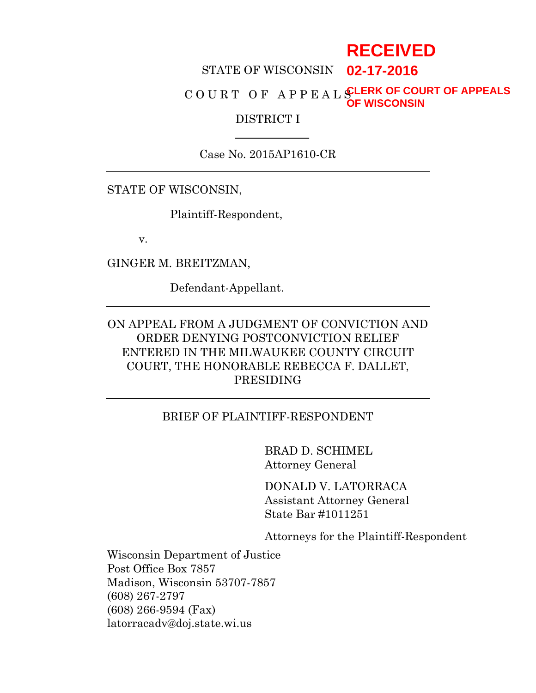# **RECEIVED**

#### STATE OF WISCONSIN **02-17-2016**

#### C O U R T O F A P P E A L S **CLERK OF COURT OF APPEALS OF WISCONSIN**

#### DISTRICT I

Case No. 2015AP1610-CR

STATE OF WISCONSIN,

Plaintiff-Respondent,

v.

GINGER M. BREITZMAN,

Defendant-Appellant.

# ON APPEAL FROM A JUDGMENT OF CONVICTION AND ORDER DENYING POSTCONVICTION RELIEF ENTERED IN THE MILWAUKEE COUNTY CIRCUIT COURT, THE HONORABLE REBECCA F. DALLET, PRESIDING

#### BRIEF OF PLAINTIFF-RESPONDENT

BRAD D. SCHIMEL Attorney General

DONALD V. LATORRACA Assistant Attorney General State Bar #1011251

Attorneys for the Plaintiff-Respondent

Wisconsin Department of Justice Post Office Box 7857 Madison, Wisconsin 53707-7857 (608) 267-2797 (608) 266-9594 (Fax) latorracadv@doj.state.wi.us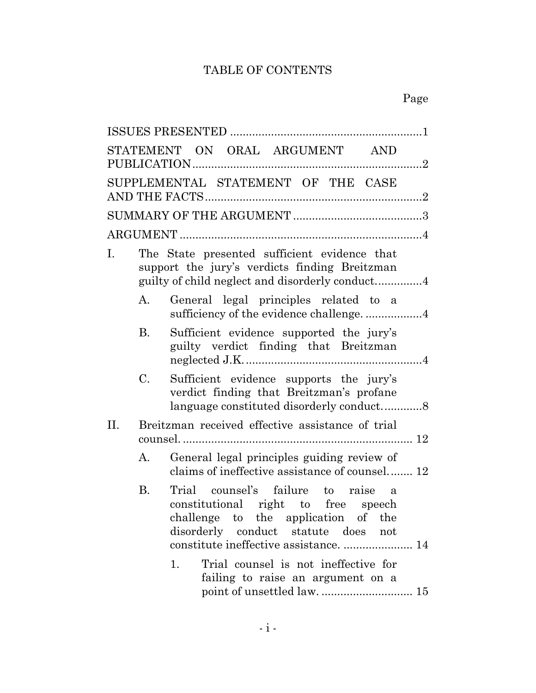# TABLE OF CONTENTS

|             |           | STATEMENT ON ORAL ARGUMENT AND                                                                                                                                                                          |  |  |  |
|-------------|-----------|---------------------------------------------------------------------------------------------------------------------------------------------------------------------------------------------------------|--|--|--|
|             |           | SUPPLEMENTAL STATEMENT OF THE CASE                                                                                                                                                                      |  |  |  |
|             |           |                                                                                                                                                                                                         |  |  |  |
|             |           |                                                                                                                                                                                                         |  |  |  |
| $I_{\cdot}$ |           | The State presented sufficient evidence that<br>support the jury's verdicts finding Breitzman                                                                                                           |  |  |  |
|             | А.        | General legal principles related to a<br>sufficiency of the evidence challenge4                                                                                                                         |  |  |  |
|             | B.        | Sufficient evidence supported the jury's<br>guilty verdict finding that Breitzman                                                                                                                       |  |  |  |
|             | C.        | Sufficient evidence supports the jury's<br>verdict finding that Breitzman's profane<br>language constituted disorderly conduct8                                                                         |  |  |  |
| П.          |           | Breitzman received effective assistance of trial                                                                                                                                                        |  |  |  |
|             | А.        | General legal principles guiding review of<br>claims of ineffective assistance of counsel 12                                                                                                            |  |  |  |
|             | <b>B.</b> | Trial counsel's failure to raise a<br>constitutional right to free speech<br>challenge to the application of the<br>disorderly<br>conduct statute does<br>not<br>constitute ineffective assistance.  14 |  |  |  |
|             |           | Trial counsel is not ineffective for<br>1.<br>failing to raise an argument on a                                                                                                                         |  |  |  |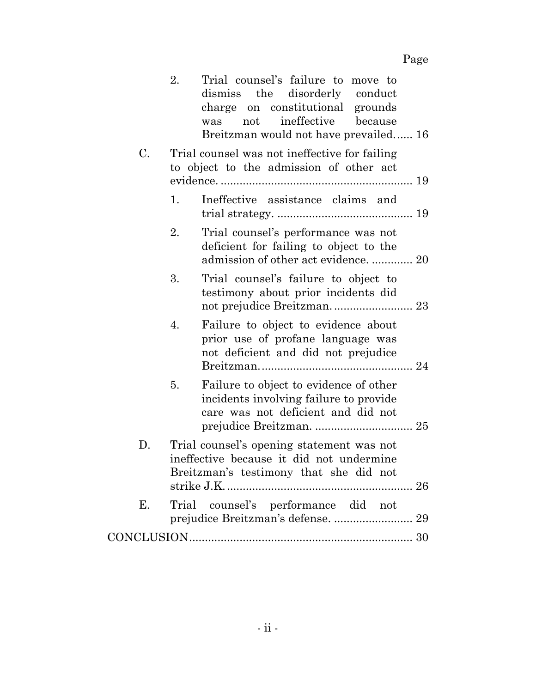|    | 2.<br>Trial counsel's failure to move to<br>dismiss the disorderly conduct<br>charge on constitutional grounds<br>not ineffective<br>because<br>was<br>Breitzman would not have prevailed 16 |
|----|----------------------------------------------------------------------------------------------------------------------------------------------------------------------------------------------|
| C. | Trial counsel was not ineffective for failing<br>to object to the admission of other act                                                                                                     |
|    | Ineffective assistance claims and<br>1.                                                                                                                                                      |
|    | 2.<br>Trial counsel's performance was not<br>deficient for failing to object to the<br>admission of other act evidence.  20                                                                  |
|    | 3.<br>Trial counsel's failure to object to<br>testimony about prior incidents did                                                                                                            |
|    | 4.<br>Failure to object to evidence about<br>prior use of profane language was<br>not deficient and did not prejudice                                                                        |
|    | Failure to object to evidence of other<br>5.<br>incidents involving failure to provide<br>care was not deficient and did not                                                                 |
| D. | Trial counsel's opening statement was not<br>ineffective because it did not undermine<br>Breitzman's testimony that she did not                                                              |
| Е. | Trial counsel's performance did not                                                                                                                                                          |
|    |                                                                                                                                                                                              |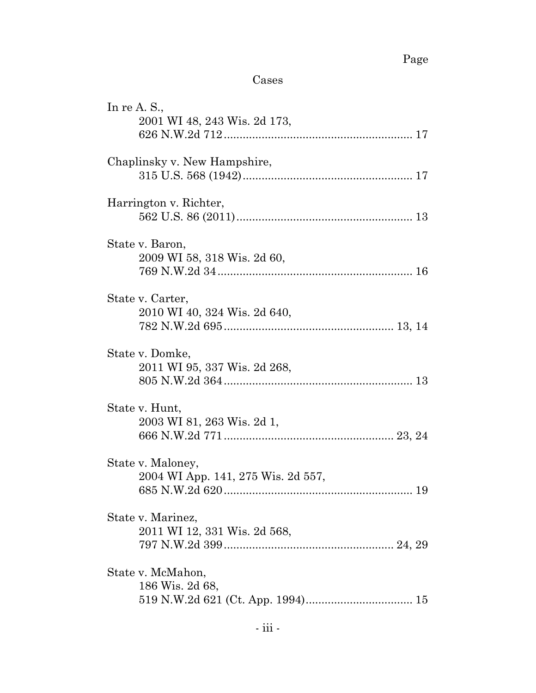# Cases

| In re A. S.,<br>2001 WI 48, 243 Wis. 2d 173,            |
|---------------------------------------------------------|
| Chaplinsky v. New Hampshire,                            |
| Harrington v. Richter,                                  |
| State v. Baron,<br>2009 WI 58, 318 Wis. 2d 60,          |
| State v. Carter,<br>2010 WI 40, 324 Wis. 2d 640,        |
| State v. Domke,<br>2011 WI 95, 337 Wis. 2d 268,         |
| State v. Hunt,<br>2003 WI 81, 263 Wis. 2d 1,            |
| State v. Maloney,<br>2004 WI App. 141, 275 Wis. 2d 557, |
| State v. Marinez,<br>2011 WI 12, 331 Wis. 2d 568,       |
| State v. McMahon,<br>186 Wis. 2d 68,                    |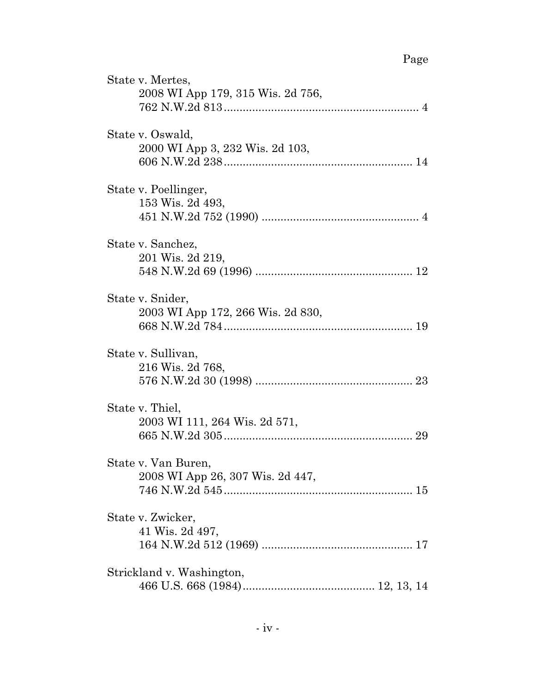# Page

| State v. Mertes,<br>2008 WI App 179, 315 Wis. 2d 756,   |
|---------------------------------------------------------|
| State v. Oswald,<br>2000 WI App 3, 232 Wis. 2d 103,     |
| State v. Poellinger,<br>153 Wis. 2d 493,                |
| State v. Sanchez,<br>201 Wis. 2d 219,                   |
| State v. Snider,<br>2003 WI App 172, 266 Wis. 2d 830,   |
| State v. Sullivan,<br>216 Wis. 2d 768,                  |
| State v. Thiel,<br>2003 WI 111, 264 Wis. 2d 571,        |
| State v. Van Buren,<br>2008 WI App 26, 307 Wis. 2d 447, |
| State v. Zwicker,<br>41 Wis. 2d 497,                    |
| Strickland v. Washington,                               |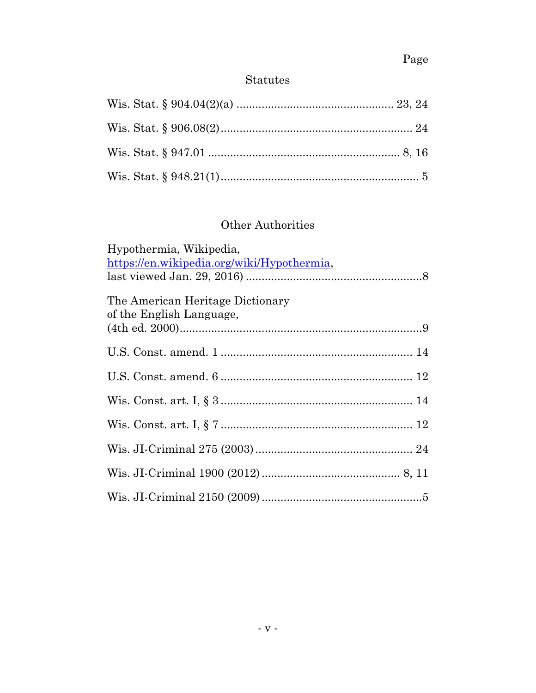# Page

# $\begin{minipage}{.4\linewidth} \textbf{Status} \end{minipage} \vspace{-0.5em}$

# Other Authorities

| Hypothermia, Wikipedia,                                      |
|--------------------------------------------------------------|
| https://en.wikipedia.org/wiki/Hypothermia,                   |
| The American Heritage Dictionary<br>of the English Language, |
|                                                              |
|                                                              |
|                                                              |
|                                                              |
|                                                              |
|                                                              |
|                                                              |
|                                                              |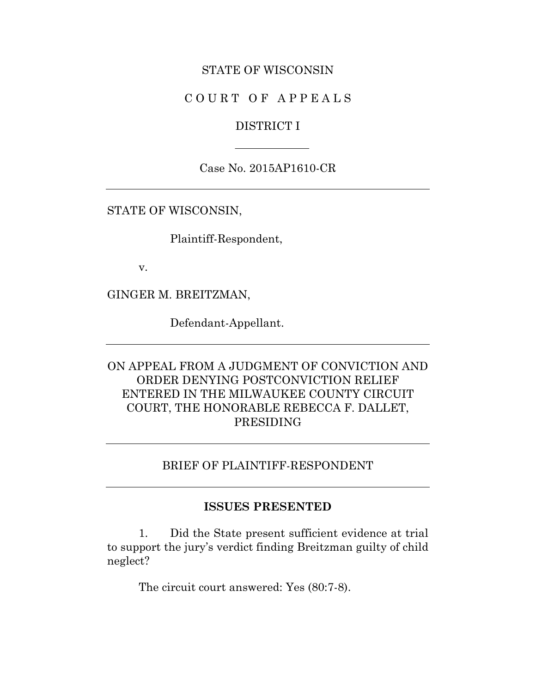### STATE OF WISCONSIN

# C O U R T O F A P P E A L S

#### DISTRICT I

Case No. 2015AP1610-CR

STATE OF WISCONSIN,

Plaintiff-Respondent,

v.

GINGER M. BREITZMAN,

Defendant-Appellant.

ON APPEAL FROM A JUDGMENT OF CONVICTION AND ORDER DENYING POSTCONVICTION RELIEF ENTERED IN THE MILWAUKEE COUNTY CIRCUIT COURT, THE HONORABLE REBECCA F. DALLET, PRESIDING

#### BRIEF OF PLAINTIFF-RESPONDENT

#### **ISSUES PRESENTED**

1. Did the State present sufficient evidence at trial to support the jury's verdict finding Breitzman guilty of child neglect?

The circuit court answered: Yes (80:7-8).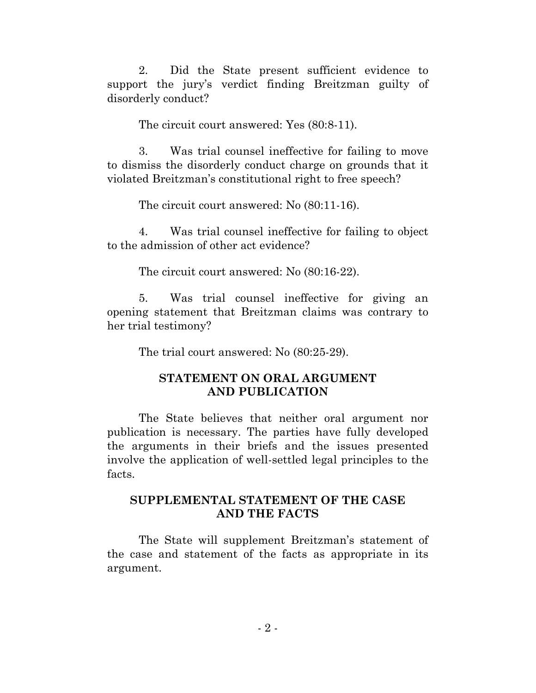2. Did the State present sufficient evidence to support the jury's verdict finding Breitzman guilty of disorderly conduct?

The circuit court answered: Yes (80:8-11).

3. Was trial counsel ineffective for failing to move to dismiss the disorderly conduct charge on grounds that it violated Breitzman's constitutional right to free speech?

The circuit court answered: No (80:11-16).

4. Was trial counsel ineffective for failing to object to the admission of other act evidence?

The circuit court answered: No (80:16-22).

5. Was trial counsel ineffective for giving an opening statement that Breitzman claims was contrary to her trial testimony?

The trial court answered: No (80:25-29).

# **STATEMENT ON ORAL ARGUMENT AND PUBLICATION**

The State believes that neither oral argument nor publication is necessary. The parties have fully developed the arguments in their briefs and the issues presented involve the application of well-settled legal principles to the facts.

# **SUPPLEMENTAL STATEMENT OF THE CASE AND THE FACTS**

The State will supplement Breitzman's statement of the case and statement of the facts as appropriate in its argument.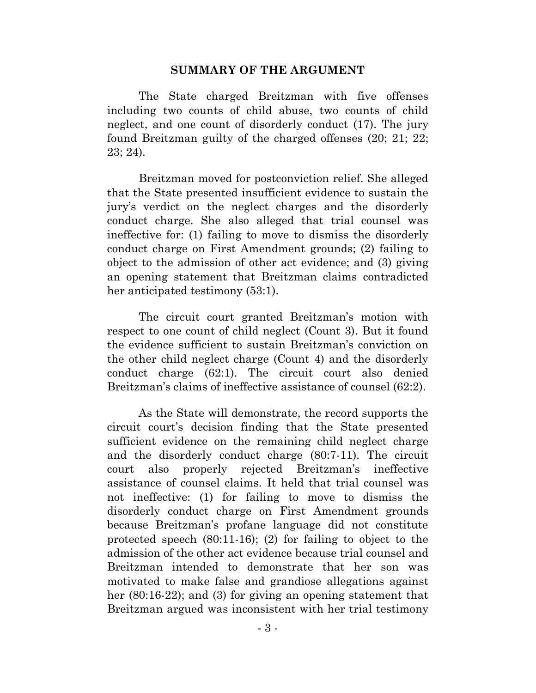#### **SUMMARY OF THE ARGUMENT**

The State charged Breitzman with five offenses including two counts of child abuse, two counts of child neglect, and one count of disorderly conduct (17). The jury found Breitzman guilty of the charged offenses (20; 21; 22; 23; 24).

Breitzman moved for postconviction relief. She alleged that the State presented insufficient evidence to sustain the jury's verdict on the neglect charges and the disorderly conduct charge. She also alleged that trial counsel was ineffective for: (1) failing to move to dismiss the disorderly conduct charge on First Amendment grounds; (2) failing to object to the admission of other act evidence; and (3) giving an opening statement that Breitzman claims contradicted her anticipated testimony (53:1).

The circuit court granted Breitzman's motion with respect to one count of child neglect (Count 3). But it found the evidence sufficient to sustain Breitzman's conviction on the other child neglect charge (Count 4) and the disorderly conduct charge (62:1). The circuit court also denied Breitzman's claims of ineffective assistance of counsel (62:2).

As the State will demonstrate, the record supports the circuit court's decision finding that the State presented sufficient evidence on the remaining child neglect charge and the disorderly conduct charge (80:7-11). The circuit court also properly rejected Breitzman's ineffective assistance of counsel claims. It held that trial counsel was not ineffective: (1) for failing to move to dismiss the disorderly conduct charge on First Amendment grounds because Breitzman's profane language did not constitute protected speech (80:11-16); (2) for failing to object to the admission of the other act evidence because trial counsel and Breitzman intended to demonstrate that her son was motivated to make false and grandiose allegations against her  $(80:16-22)$ ; and  $(3)$  for giving an opening statement that Breitzman argued was inconsistent with her trial testimony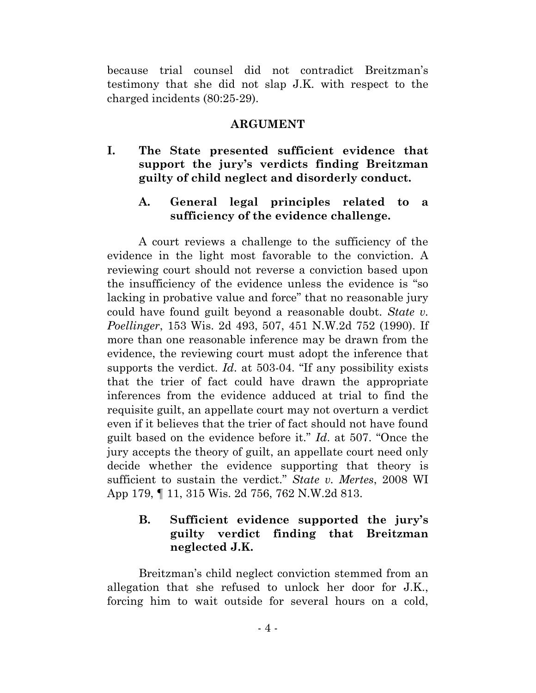because trial counsel did not contradict Breitzman's testimony that she did not slap J.K. with respect to the charged incidents (80:25-29).

### **ARGUMENT**

**I. The State presented sufficient evidence that support the jury's verdicts finding Breitzman guilty of child neglect and disorderly conduct.** 

# **A. General legal principles related to a sufficiency of the evidence challenge.**

A court reviews a challenge to the sufficiency of the evidence in the light most favorable to the conviction. A reviewing court should not reverse a conviction based upon the insufficiency of the evidence unless the evidence is "so lacking in probative value and force" that no reasonable jury could have found guilt beyond a reasonable doubt. *State v. Poellinger*, 153 Wis. 2d 493, 507, 451 N.W.2d 752 (1990). If more than one reasonable inference may be drawn from the evidence, the reviewing court must adopt the inference that supports the verdict. *Id*. at 503-04. "If any possibility exists that the trier of fact could have drawn the appropriate inferences from the evidence adduced at trial to find the requisite guilt, an appellate court may not overturn a verdict even if it believes that the trier of fact should not have found guilt based on the evidence before it." *Id*. at 507. "Once the jury accepts the theory of guilt, an appellate court need only decide whether the evidence supporting that theory is sufficient to sustain the verdict." *State v. Mertes*, 2008 WI App 179, ¶ 11, 315 Wis. 2d 756, 762 N.W.2d 813.

# **B. Sufficient evidence supported the jury's guilty verdict finding that Breitzman neglected J.K.**

Breitzman's child neglect conviction stemmed from an allegation that she refused to unlock her door for J.K., forcing him to wait outside for several hours on a cold,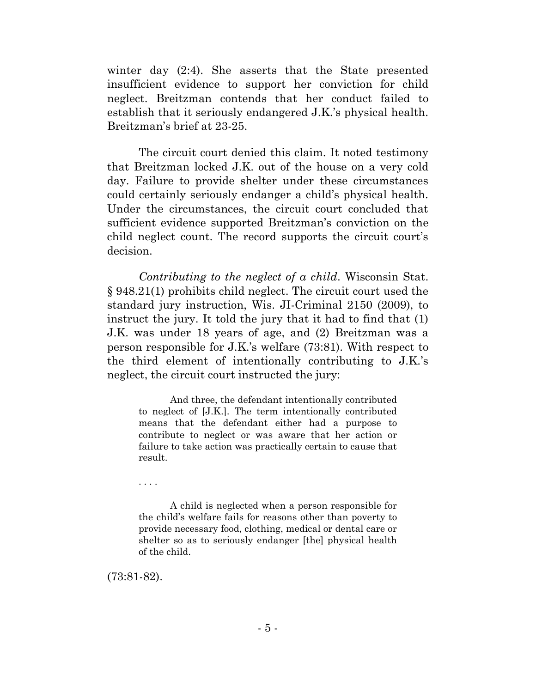winter day (2:4). She asserts that the State presented insufficient evidence to support her conviction for child neglect. Breitzman contends that her conduct failed to establish that it seriously endangered J.K.'s physical health. Breitzman's brief at 23-25.

The circuit court denied this claim. It noted testimony that Breitzman locked J.K. out of the house on a very cold day. Failure to provide shelter under these circumstances could certainly seriously endanger a child's physical health. Under the circumstances, the circuit court concluded that sufficient evidence supported Breitzman's conviction on the child neglect count. The record supports the circuit court's decision.

*Contributing to the neglect of a child*. Wisconsin Stat. § 948.21(1) prohibits child neglect. The circuit court used the standard jury instruction, Wis. JI-Criminal 2150 (2009), to instruct the jury. It told the jury that it had to find that (1) J.K. was under 18 years of age, and (2) Breitzman was a person responsible for J.K.'s welfare (73:81). With respect to the third element of intentionally contributing to J.K.'s neglect, the circuit court instructed the jury:

And three, the defendant intentionally contributed to neglect of [J.K.]. The term intentionally contributed means that the defendant either had a purpose to contribute to neglect or was aware that her action or failure to take action was practically certain to cause that result.

. . . .

A child is neglected when a person responsible for the child's welfare fails for reasons other than poverty to provide necessary food, clothing, medical or dental care or shelter so as to seriously endanger [the] physical health of the child.

(73:81-82).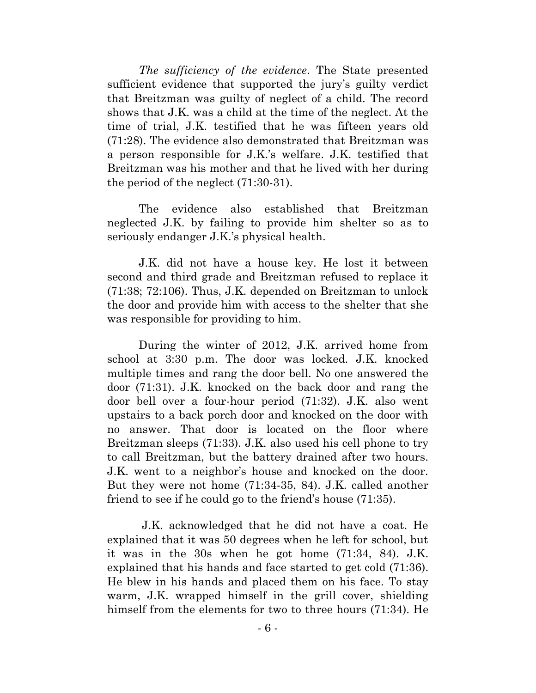*The sufficiency of the evidence*. The State presented sufficient evidence that supported the jury's guilty verdict that Breitzman was guilty of neglect of a child. The record shows that J.K. was a child at the time of the neglect. At the time of trial, J.K. testified that he was fifteen years old (71:28). The evidence also demonstrated that Breitzman was a person responsible for J.K.'s welfare. J.K. testified that Breitzman was his mother and that he lived with her during the period of the neglect (71:30-31).

The evidence also established that Breitzman neglected J.K. by failing to provide him shelter so as to seriously endanger J.K.'s physical health.

J.K. did not have a house key. He lost it between second and third grade and Breitzman refused to replace it (71:38; 72:106). Thus, J.K. depended on Breitzman to unlock the door and provide him with access to the shelter that she was responsible for providing to him.

During the winter of 2012, J.K. arrived home from school at 3:30 p.m. The door was locked. J.K. knocked multiple times and rang the door bell. No one answered the door (71:31). J.K. knocked on the back door and rang the door bell over a four-hour period (71:32). J.K. also went upstairs to a back porch door and knocked on the door with no answer. That door is located on the floor where Breitzman sleeps (71:33). J.K. also used his cell phone to try to call Breitzman, but the battery drained after two hours. J.K. went to a neighbor's house and knocked on the door. But they were not home (71:34-35, 84). J.K. called another friend to see if he could go to the friend's house (71:35).

J.K. acknowledged that he did not have a coat. He explained that it was 50 degrees when he left for school, but it was in the 30s when he got home (71:34, 84). J.K. explained that his hands and face started to get cold (71:36). He blew in his hands and placed them on his face. To stay warm, J.K. wrapped himself in the grill cover, shielding himself from the elements for two to three hours (71:34). He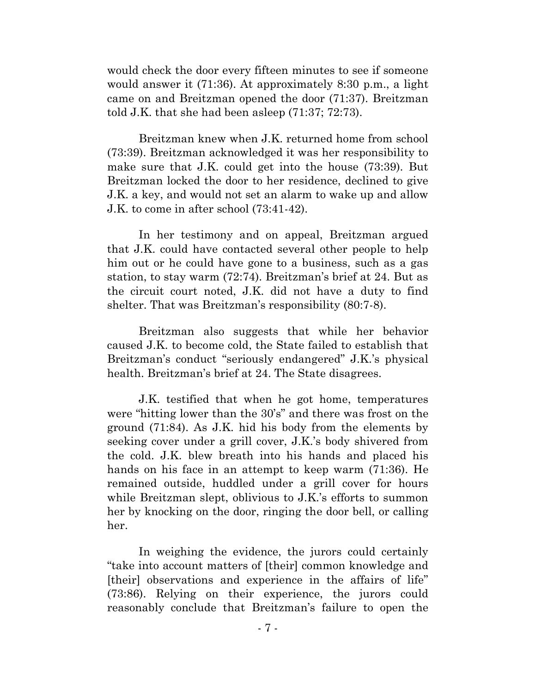would check the door every fifteen minutes to see if someone would answer it (71:36). At approximately 8:30 p.m., a light came on and Breitzman opened the door (71:37). Breitzman told J.K. that she had been asleep (71:37; 72:73).

Breitzman knew when J.K. returned home from school (73:39). Breitzman acknowledged it was her responsibility to make sure that J.K. could get into the house (73:39). But Breitzman locked the door to her residence, declined to give J.K. a key, and would not set an alarm to wake up and allow J.K. to come in after school (73:41-42).

In her testimony and on appeal, Breitzman argued that J.K. could have contacted several other people to help him out or he could have gone to a business, such as a gas station, to stay warm (72:74). Breitzman's brief at 24. But as the circuit court noted, J.K. did not have a duty to find shelter. That was Breitzman's responsibility (80:7-8).

Breitzman also suggests that while her behavior caused J.K. to become cold, the State failed to establish that Breitzman's conduct "seriously endangered" J.K.'s physical health. Breitzman's brief at 24. The State disagrees.

J.K. testified that when he got home, temperatures were "hitting lower than the 30's" and there was frost on the ground (71:84). As J.K. hid his body from the elements by seeking cover under a grill cover, J.K.'s body shivered from the cold. J.K. blew breath into his hands and placed his hands on his face in an attempt to keep warm (71:36). He remained outside, huddled under a grill cover for hours while Breitzman slept, oblivious to J.K.'s efforts to summon her by knocking on the door, ringing the door bell, or calling her.

In weighing the evidence, the jurors could certainly "take into account matters of [their] common knowledge and [their] observations and experience in the affairs of life" (73:86). Relying on their experience, the jurors could reasonably conclude that Breitzman's failure to open the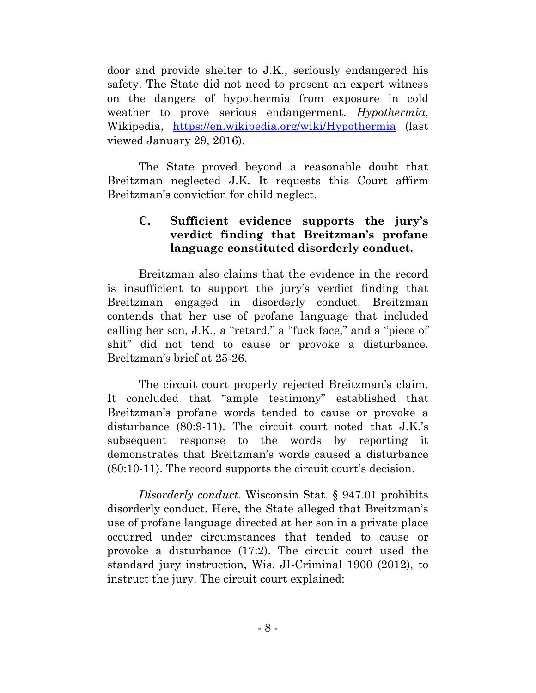door and provide shelter to J.K., seriously endangered his safety. The State did not need to present an expert witness on the dangers of hypothermia from exposure in cold weather to prove serious endangerment. *Hypothermia*, Wikipedia, <https://en.wikipedia.org/wiki/Hypothermia> (last viewed January 29, 2016).

The State proved beyond a reasonable doubt that Breitzman neglected J.K. It requests this Court affirm Breitzman's conviction for child neglect.

# **C. Sufficient evidence supports the jury's verdict finding that Breitzman's profane language constituted disorderly conduct.**

Breitzman also claims that the evidence in the record is insufficient to support the jury's verdict finding that Breitzman engaged in disorderly conduct. Breitzman contends that her use of profane language that included calling her son, J.K., a "retard," a "fuck face," and a "piece of shit" did not tend to cause or provoke a disturbance. Breitzman's brief at 25-26.

The circuit court properly rejected Breitzman's claim. It concluded that "ample testimony" established that Breitzman's profane words tended to cause or provoke a disturbance (80:9-11). The circuit court noted that J.K.'s subsequent response to the words by reporting it demonstrates that Breitzman's words caused a disturbance (80:10-11). The record supports the circuit court's decision.

*Disorderly conduct*. Wisconsin Stat. § 947.01 prohibits disorderly conduct. Here, the State alleged that Breitzman's use of profane language directed at her son in a private place occurred under circumstances that tended to cause or provoke a disturbance (17:2). The circuit court used the standard jury instruction, Wis. JI-Criminal 1900 (2012), to instruct the jury. The circuit court explained: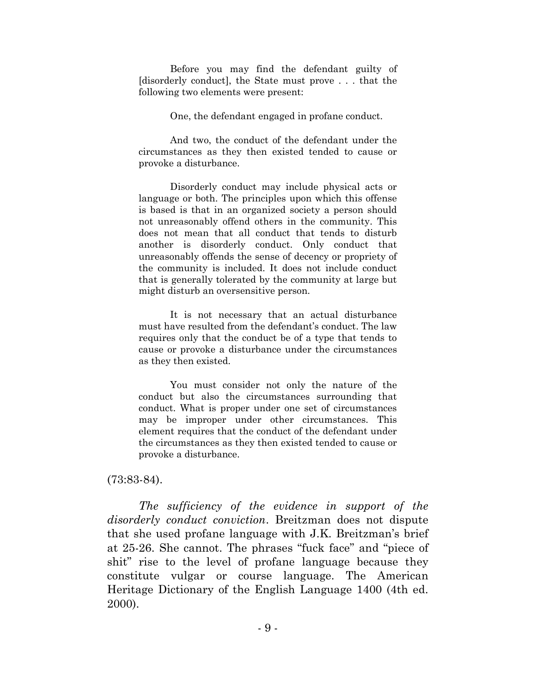Before you may find the defendant guilty of [disorderly conduct], the State must prove . . . that the following two elements were present:

One, the defendant engaged in profane conduct.

And two, the conduct of the defendant under the circumstances as they then existed tended to cause or provoke a disturbance.

Disorderly conduct may include physical acts or language or both. The principles upon which this offense is based is that in an organized society a person should not unreasonably offend others in the community. This does not mean that all conduct that tends to disturb another is disorderly conduct. Only conduct that unreasonably offends the sense of decency or propriety of the community is included. It does not include conduct that is generally tolerated by the community at large but might disturb an oversensitive person.

It is not necessary that an actual disturbance must have resulted from the defendant's conduct. The law requires only that the conduct be of a type that tends to cause or provoke a disturbance under the circumstances as they then existed.

You must consider not only the nature of the conduct but also the circumstances surrounding that conduct. What is proper under one set of circumstances may be improper under other circumstances. This element requires that the conduct of the defendant under the circumstances as they then existed tended to cause or provoke a disturbance.

#### (73:83-84).

*The sufficiency of the evidence in support of the disorderly conduct conviction*. Breitzman does not dispute that she used profane language with J.K. Breitzman's brief at 25-26. She cannot. The phrases "fuck face" and "piece of shit" rise to the level of profane language because they constitute vulgar or course language. The American Heritage Dictionary of the English Language 1400 (4th ed. 2000).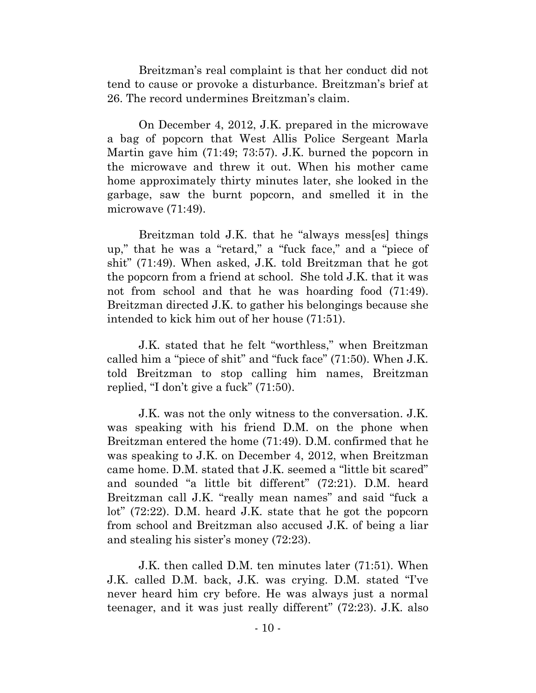Breitzman's real complaint is that her conduct did not tend to cause or provoke a disturbance. Breitzman's brief at 26. The record undermines Breitzman's claim.

On December 4, 2012, J.K. prepared in the microwave a bag of popcorn that West Allis Police Sergeant Marla Martin gave him (71:49; 73:57). J.K. burned the popcorn in the microwave and threw it out. When his mother came home approximately thirty minutes later, she looked in the garbage, saw the burnt popcorn, and smelled it in the microwave (71:49).

Breitzman told J.K. that he "always mess[es] things up," that he was a "retard," a "fuck face," and a "piece of shit" (71:49). When asked, J.K. told Breitzman that he got the popcorn from a friend at school. She told J.K. that it was not from school and that he was hoarding food (71:49). Breitzman directed J.K. to gather his belongings because she intended to kick him out of her house (71:51).

J.K. stated that he felt "worthless," when Breitzman called him a "piece of shit" and "fuck face" (71:50). When J.K. told Breitzman to stop calling him names, Breitzman replied, "I don't give a fuck" (71:50).

J.K. was not the only witness to the conversation. J.K. was speaking with his friend D.M. on the phone when Breitzman entered the home (71:49). D.M. confirmed that he was speaking to J.K. on December 4, 2012, when Breitzman came home. D.M. stated that J.K. seemed a "little bit scared" and sounded "a little bit different" (72:21). D.M. heard Breitzman call J.K. "really mean names" and said "fuck a lot" (72:22). D.M. heard J.K. state that he got the popcorn from school and Breitzman also accused J.K. of being a liar and stealing his sister's money (72:23).

J.K. then called D.M. ten minutes later (71:51). When J.K. called D.M. back, J.K. was crying. D.M. stated "I've never heard him cry before. He was always just a normal teenager, and it was just really different" (72:23). J.K. also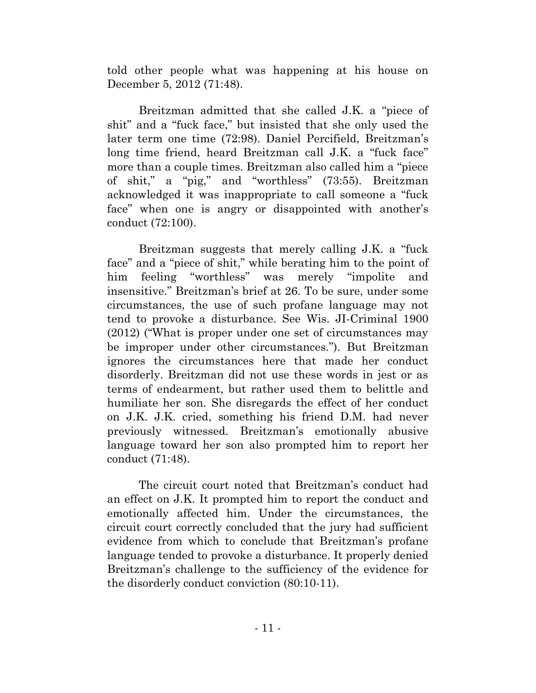told other people what was happening at his house on December 5, 2012 (71:48).

Breitzman admitted that she called J.K. a "piece of shit" and a "fuck face," but insisted that she only used the later term one time (72:98). Daniel Percifield, Breitzman's long time friend, heard Breitzman call J.K. a "fuck face" more than a couple times. Breitzman also called him a "piece of shit," a "pig," and "worthless" (73:55). Breitzman acknowledged it was inappropriate to call someone a "fuck face" when one is angry or disappointed with another's conduct (72:100).

Breitzman suggests that merely calling J.K. a "fuck face" and a "piece of shit," while berating him to the point of him feeling "worthless" was merely "impolite and insensitive." Breitzman's brief at 26. To be sure, under some circumstances, the use of such profane language may not tend to provoke a disturbance. See Wis. JI-Criminal 1900 (2012) ("What is proper under one set of circumstances may be improper under other circumstances."). But Breitzman ignores the circumstances here that made her conduct disorderly. Breitzman did not use these words in jest or as terms of endearment, but rather used them to belittle and humiliate her son. She disregards the effect of her conduct on J.K. J.K. cried, something his friend D.M. had never previously witnessed. Breitzman's emotionally abusive language toward her son also prompted him to report her conduct (71:48).

The circuit court noted that Breitzman's conduct had an effect on J.K. It prompted him to report the conduct and emotionally affected him. Under the circumstances, the circuit court correctly concluded that the jury had sufficient evidence from which to conclude that Breitzman's profane language tended to provoke a disturbance. It properly denied Breitzman's challenge to the sufficiency of the evidence for the disorderly conduct conviction (80:10-11).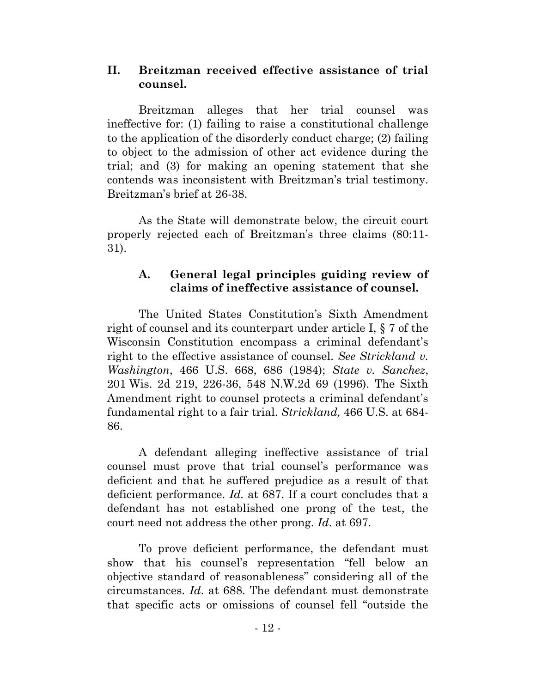# **II. Breitzman received effective assistance of trial counsel.**

Breitzman alleges that her trial counsel was ineffective for: (1) failing to raise a constitutional challenge to the application of the disorderly conduct charge; (2) failing to object to the admission of other act evidence during the trial; and (3) for making an opening statement that she contends was inconsistent with Breitzman's trial testimony. Breitzman's brief at 26-38.

As the State will demonstrate below, the circuit court properly rejected each of Breitzman's three claims (80:11- 31).

# **A. General legal principles guiding review of claims of ineffective assistance of counsel.**

The United States Constitution's Sixth Amendment right of counsel and its counterpart under article I, § 7 of the Wisconsin Constitution encompass a criminal defendant's right to the effective assistance of counsel. *See Strickland v. Washington*, 466 U.S. 668, 686 (1984); *State v. Sanchez*, 201 Wis. 2d 219, 226-36, 548 N.W.2d 69 (1996). The Sixth Amendment right to counsel protects a criminal defendant's fundamental right to a fair trial. *Strickland,* 466 U.S. at 684- 86.

A defendant alleging ineffective assistance of trial counsel must prove that trial counsel's performance was deficient and that he suffered prejudice as a result of that deficient performance. *Id.* at 687. If a court concludes that a defendant has not established one prong of the test, the court need not address the other prong. *Id*. at 697.

To prove deficient performance, the defendant must show that his counsel's representation "fell below an objective standard of reasonableness" considering all of the circumstances. *Id*. at 688. The defendant must demonstrate that specific acts or omissions of counsel fell "outside the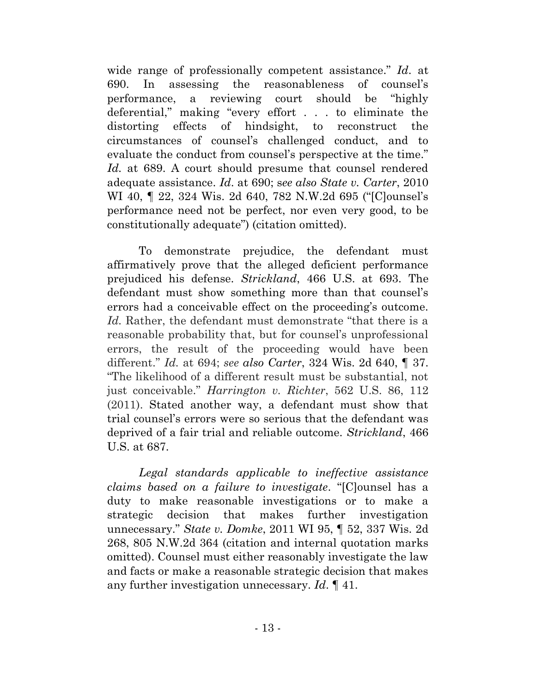wide range of professionally competent assistance." *Id*. at 690. In assessing the reasonableness of counsel's performance, a reviewing court should be "highly deferential," making "every effort . . . to eliminate the distorting effects of hindsight, to reconstruct the circumstances of counsel's challenged conduct, and to evaluate the conduct from counsel's perspective at the time." *Id.* at 689. A court should presume that counsel rendered adequate assistance. *Id*. at 690; s*ee also State v. Carter*, 2010 WI 40, ¶ 22, 324 Wis. 2d 640, 782 N.W.2d 695 ("[C]ounsel's performance need not be perfect, nor even very good, to be constitutionally adequate") (citation omitted).

To demonstrate prejudice, the defendant must affirmatively prove that the alleged deficient performance prejudiced his defense. *Strickland*, 466 U.S. at 693. The defendant must show something more than that counsel's errors had a conceivable effect on the proceeding's outcome. *Id.* Rather, the defendant must demonstrate "that there is a reasonable probability that, but for counsel's unprofessional errors, the result of the proceeding would have been different." *Id.* at 694; *see also Carter*, 324 Wis. 2d 640, ¶ 37. "The likelihood of a different result must be substantial, not just conceivable." *Harrington v. Richter*, 562 U.S. 86, 112 (2011). Stated another way, a defendant must show that trial counsel's errors were so serious that the defendant was deprived of a fair trial and reliable outcome. *Strickland*, 466 U.S. at 687.

*Legal standards applicable to ineffective assistance claims based on a failure to investigate*. "[C]ounsel has a duty to make reasonable investigations or to make a strategic decision that makes further investigation unnecessary." *State v. Domke*, 2011 WI 95, ¶ 52, 337 Wis. 2d 268, 805 N.W.2d 364 (citation and internal quotation marks omitted). Counsel must either reasonably investigate the law and facts or make a reasonable strategic decision that makes any further investigation unnecessary. *Id*. ¶ 41.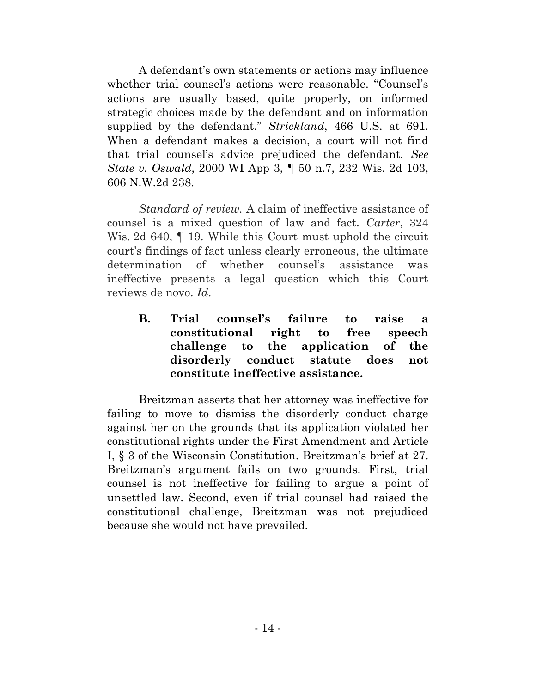A defendant's own statements or actions may influence whether trial counsel's actions were reasonable. "Counsel's actions are usually based, quite properly, on informed strategic choices made by the defendant and on information supplied by the defendant." *Strickland*, 466 U.S. at 691. When a defendant makes a decision, a court will not find that trial counsel's advice prejudiced the defendant. *See State v. Oswald*, 2000 WI App 3, ¶ 50 n.7, 232 Wis. 2d 103, 606 N.W.2d 238.

*Standard of review.* A claim of ineffective assistance of counsel is a mixed question of law and fact. *Carter*, 324 Wis. 2d 640,  $\parallel$  19. While this Court must uphold the circuit court's findings of fact unless clearly erroneous, the ultimate determination of whether counsel's assistance was ineffective presents a legal question which this Court reviews de novo. *Id*.

**B. Trial counsel's failure to raise a constitutional right to free speech challenge to the application of the disorderly conduct statute does not constitute ineffective assistance.** 

Breitzman asserts that her attorney was ineffective for failing to move to dismiss the disorderly conduct charge against her on the grounds that its application violated her constitutional rights under the First Amendment and Article I, § 3 of the Wisconsin Constitution. Breitzman's brief at 27. Breitzman's argument fails on two grounds. First, trial counsel is not ineffective for failing to argue a point of unsettled law. Second, even if trial counsel had raised the constitutional challenge, Breitzman was not prejudiced because she would not have prevailed.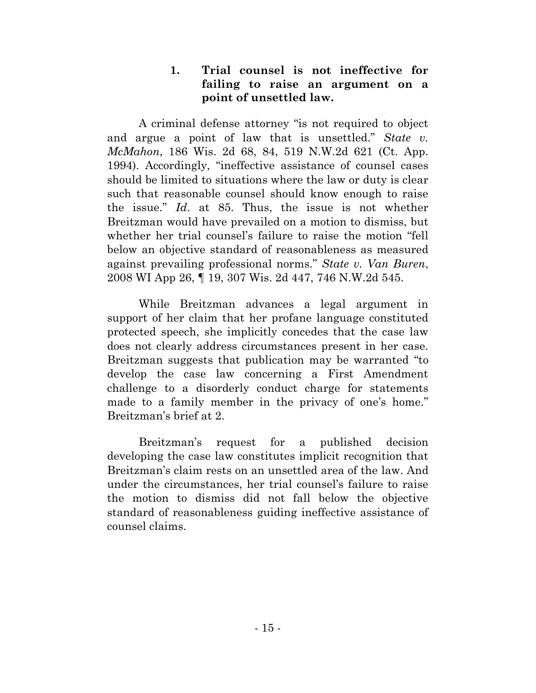# **1. Trial counsel is not ineffective for failing to raise an argument on a point of unsettled law.**

A criminal defense attorney "is not required to object and argue a point of law that is unsettled." *State v. McMahon*, 186 Wis. 2d 68, 84, 519 N.W.2d 621 (Ct. App. 1994). Accordingly, "ineffective assistance of counsel cases should be limited to situations where the law or duty is clear such that reasonable counsel should know enough to raise the issue." *Id*. at 85. Thus, the issue is not whether Breitzman would have prevailed on a motion to dismiss, but whether her trial counsel's failure to raise the motion "fell below an objective standard of reasonableness as measured against prevailing professional norms." *State v. Van Buren*, 2008 WI App 26, ¶ 19, 307 Wis. 2d 447, 746 N.W.2d 545.

While Breitzman advances a legal argument in support of her claim that her profane language constituted protected speech, she implicitly concedes that the case law does not clearly address circumstances present in her case. Breitzman suggests that publication may be warranted "to develop the case law concerning a First Amendment challenge to a disorderly conduct charge for statements made to a family member in the privacy of one's home." Breitzman's brief at 2.

Breitzman's request for a published decision developing the case law constitutes implicit recognition that Breitzman's claim rests on an unsettled area of the law. And under the circumstances, her trial counsel's failure to raise the motion to dismiss did not fall below the objective standard of reasonableness guiding ineffective assistance of counsel claims.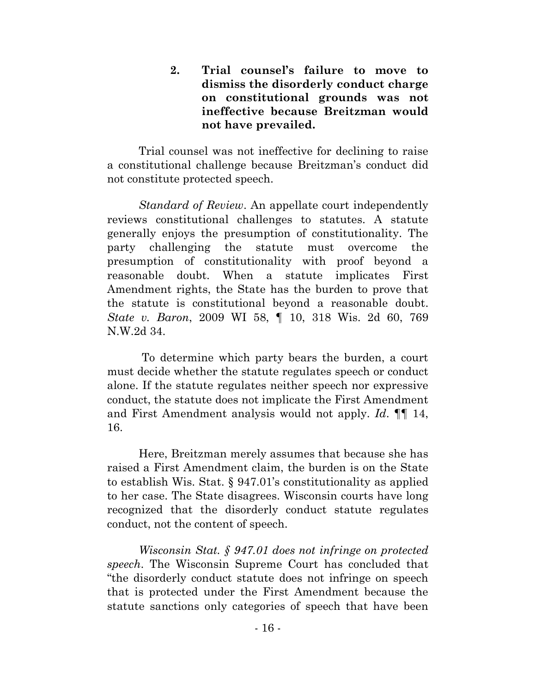**2. Trial counsel's failure to move to dismiss the disorderly conduct charge on constitutional grounds was not ineffective because Breitzman would not have prevailed.** 

Trial counsel was not ineffective for declining to raise a constitutional challenge because Breitzman's conduct did not constitute protected speech.

*Standard of Review*. An appellate court independently reviews constitutional challenges to statutes. A statute generally enjoys the presumption of constitutionality. The party challenging the statute must overcome the presumption of constitutionality with proof beyond a reasonable doubt. When a statute implicates First Amendment rights, the State has the burden to prove that the statute is constitutional beyond a reasonable doubt. *State v. Baron*, 2009 WI 58, ¶ 10, 318 Wis. 2d 60, 769 N.W.2d 34.

To determine which party bears the burden, a court must decide whether the statute regulates speech or conduct alone. If the statute regulates neither speech nor expressive conduct, the statute does not implicate the First Amendment and First Amendment analysis would not apply. *Id*. ¶¶ 14, 16.

Here, Breitzman merely assumes that because she has raised a First Amendment claim, the burden is on the State to establish Wis. Stat. § 947.01's constitutionality as applied to her case. The State disagrees. Wisconsin courts have long recognized that the disorderly conduct statute regulates conduct, not the content of speech.

*Wisconsin Stat. § 947.01 does not infringe on protected speech*. The Wisconsin Supreme Court has concluded that "the disorderly conduct statute does not infringe on speech that is protected under the First Amendment because the statute sanctions only categories of speech that have been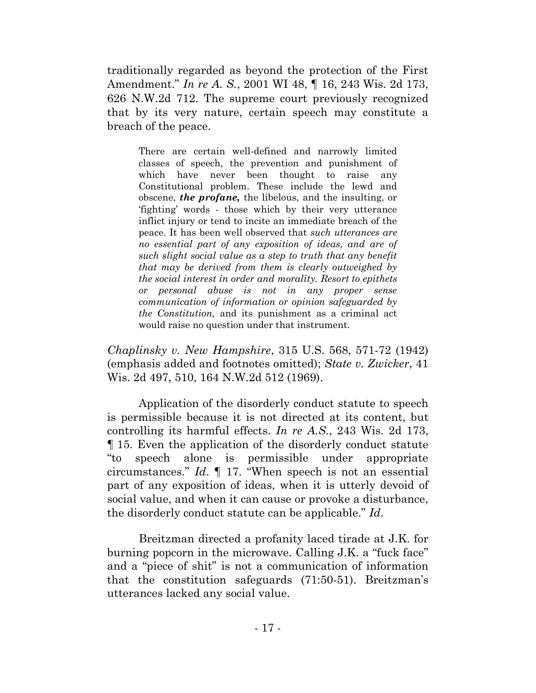traditionally regarded as beyond the protection of the First Amendment." *In re A. S.*, 2001 WI 48, ¶ 16, 243 Wis. 2d 173, 626 N.W.2d 712. The supreme court previously recognized that by its very nature, certain speech may constitute a breach of the peace.

There are certain well-defined and narrowly limited classes of speech, the prevention and punishment of which have never been thought to raise any Constitutional problem. These include the lewd and obscene, *the profane,* the libelous, and the insulting, or 'fighting' words - those which by their very utterance inflict injury or tend to incite an immediate breach of the peace. It has been well observed that *such utterances are no essential part of any exposition of ideas, and are of such slight social value as a step to truth that any benefit that may be derived from them is clearly outweighed by the social interest in order and morality. Resort to epithets or personal abuse is not in any proper sense communication of information or opinion safeguarded by the Constitution,* and its punishment as a criminal act would raise no question under that instrument.

*Chaplinsky v. New Hampshire*, 315 U.S. 568, 571-72 (1942) (emphasis added and footnotes omitted); *State v. Zwicker*, 41 Wis. 2d 497, 510, 164 N.W.2d 512 (1969).

Application of the disorderly conduct statute to speech is permissible because it is not directed at its content, but controlling its harmful effects. *In re A.S.*, 243 Wis. 2d 173, ¶ 15. Even the application of the disorderly conduct statute "to speech alone is permissible under appropriate circumstances." *Id*. ¶ 17. "When speech is not an essential part of any exposition of ideas, when it is utterly devoid of social value, and when it can cause or provoke a disturbance, the disorderly conduct statute can be applicable." *Id*.

Breitzman directed a profanity laced tirade at J.K. for burning popcorn in the microwave. Calling J.K. a "fuck face" and a "piece of shit" is not a communication of information that the constitution safeguards (71:50-51). Breitzman's utterances lacked any social value.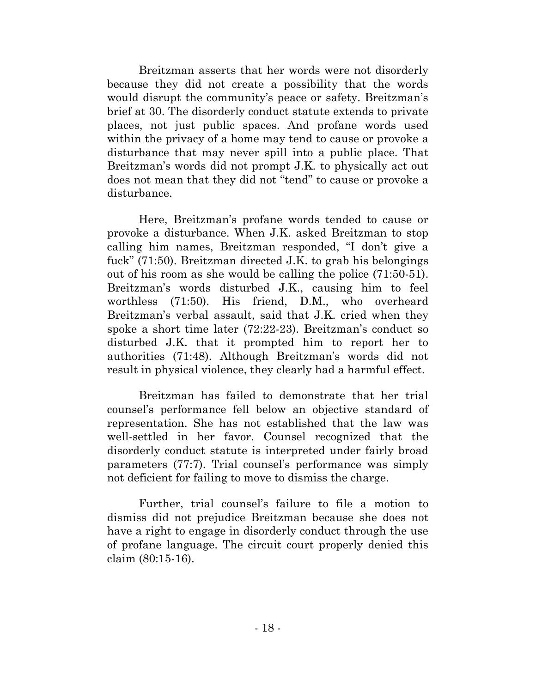Breitzman asserts that her words were not disorderly because they did not create a possibility that the words would disrupt the community's peace or safety. Breitzman's brief at 30. The disorderly conduct statute extends to private places, not just public spaces. And profane words used within the privacy of a home may tend to cause or provoke a disturbance that may never spill into a public place. That Breitzman's words did not prompt J.K. to physically act out does not mean that they did not "tend" to cause or provoke a disturbance.

Here, Breitzman's profane words tended to cause or provoke a disturbance. When J.K. asked Breitzman to stop calling him names, Breitzman responded, "I don't give a fuck" (71:50). Breitzman directed J.K. to grab his belongings out of his room as she would be calling the police (71:50-51). Breitzman's words disturbed J.K., causing him to feel worthless (71:50). His friend, D.M., who overheard Breitzman's verbal assault, said that J.K. cried when they spoke a short time later (72:22-23). Breitzman's conduct so disturbed J.K. that it prompted him to report her to authorities (71:48). Although Breitzman's words did not result in physical violence, they clearly had a harmful effect.

Breitzman has failed to demonstrate that her trial counsel's performance fell below an objective standard of representation. She has not established that the law was well-settled in her favor. Counsel recognized that the disorderly conduct statute is interpreted under fairly broad parameters (77:7). Trial counsel's performance was simply not deficient for failing to move to dismiss the charge.

Further, trial counsel's failure to file a motion to dismiss did not prejudice Breitzman because she does not have a right to engage in disorderly conduct through the use of profane language. The circuit court properly denied this claim (80:15-16).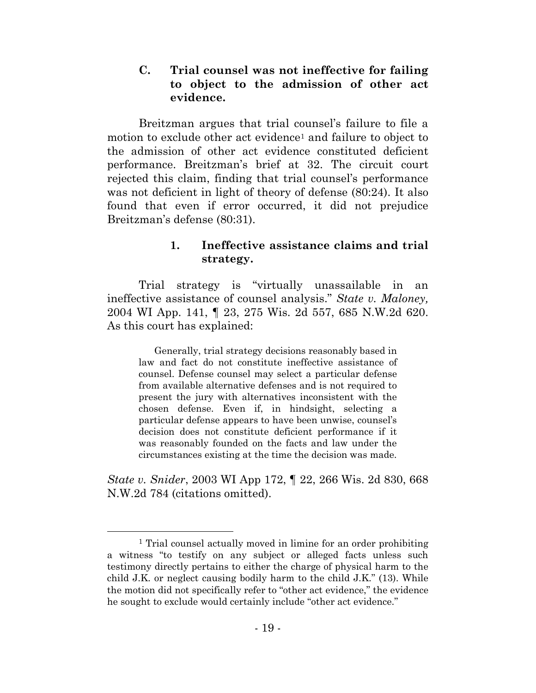## **C. Trial counsel was not ineffective for failing to object to the admission of other act evidence.**

Breitzman argues that trial counsel's failure to file a motion to exclude other act evidence<sup>1</sup> and failure to object to the admission of other act evidence constituted deficient performance. Breitzman's brief at 32. The circuit court rejected this claim, finding that trial counsel's performance was not deficient in light of theory of defense (80:24). It also found that even if error occurred, it did not prejudice Breitzman's defense (80:31).

# **1. Ineffective assistance claims and trial strategy.**

Trial strategy is "virtually unassailable in an ineffective assistance of counsel analysis." *State v. Maloney,*  2004 WI App. 141, ¶ 23, 275 Wis. 2d 557, 685 N.W.2d 620. As this court has explained:

Generally, trial strategy decisions reasonably based in law and fact do not constitute ineffective assistance of counsel. Defense counsel may select a particular defense from available alternative defenses and is not required to present the jury with alternatives inconsistent with the chosen defense. Even if, in hindsight, selecting a particular defense appears to have been unwise, counsel's decision does not constitute deficient performance if it was reasonably founded on the facts and law under the circumstances existing at the time the decision was made.

*State v. Snider*, 2003 WI App 172, ¶ 22, 266 Wis. 2d 830, 668 N.W.2d 784 (citations omitted).

<sup>1</sup> Trial counsel actually moved in limine for an order prohibiting a witness "to testify on any subject or alleged facts unless such testimony directly pertains to either the charge of physical harm to the child J.K. or neglect causing bodily harm to the child J.K." (13). While the motion did not specifically refer to "other act evidence," the evidence he sought to exclude would certainly include "other act evidence."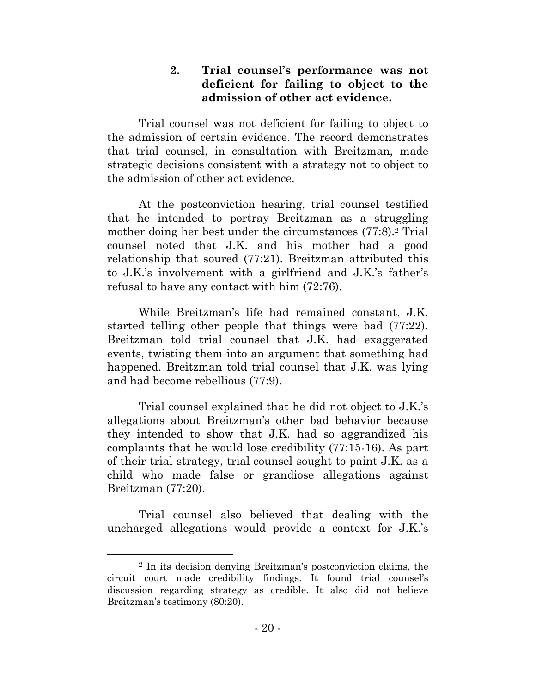# **2. Trial counsel's performance was not deficient for failing to object to the admission of other act evidence.**

Trial counsel was not deficient for failing to object to the admission of certain evidence. The record demonstrates that trial counsel, in consultation with Breitzman, made strategic decisions consistent with a strategy not to object to the admission of other act evidence.

At the postconviction hearing, trial counsel testified that he intended to portray Breitzman as a struggling mother doing her best under the circumstances (77:8).<sup>2</sup> Trial counsel noted that J.K. and his mother had a good relationship that soured (77:21). Breitzman attributed this to J.K.'s involvement with a girlfriend and J.K.'s father's refusal to have any contact with him (72:76).

While Breitzman's life had remained constant, J.K. started telling other people that things were bad (77:22). Breitzman told trial counsel that J.K. had exaggerated events, twisting them into an argument that something had happened. Breitzman told trial counsel that J.K. was lying and had become rebellious (77:9).

Trial counsel explained that he did not object to J.K.'s allegations about Breitzman's other bad behavior because they intended to show that J.K. had so aggrandized his complaints that he would lose credibility (77:15-16). As part of their trial strategy, trial counsel sought to paint J.K. as a child who made false or grandiose allegations against Breitzman (77:20).

Trial counsel also believed that dealing with the uncharged allegations would provide a context for J.K.'s

<sup>2</sup> In its decision denying Breitzman's postconviction claims, the circuit court made credibility findings. It found trial counsel's discussion regarding strategy as credible. It also did not believe Breitzman's testimony (80:20).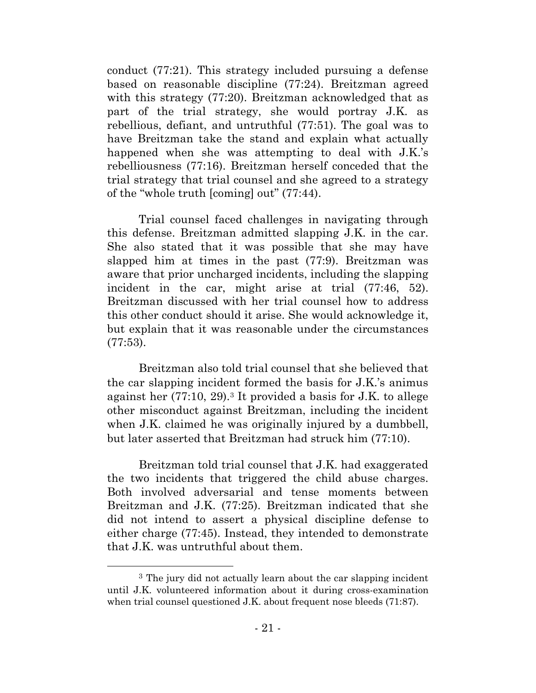conduct (77:21). This strategy included pursuing a defense based on reasonable discipline (77:24). Breitzman agreed with this strategy (77:20). Breitzman acknowledged that as part of the trial strategy, she would portray J.K. as rebellious, defiant, and untruthful (77:51). The goal was to have Breitzman take the stand and explain what actually happened when she was attempting to deal with J.K.'s rebelliousness (77:16). Breitzman herself conceded that the trial strategy that trial counsel and she agreed to a strategy of the "whole truth [coming] out" (77:44).

Trial counsel faced challenges in navigating through this defense. Breitzman admitted slapping J.K. in the car. She also stated that it was possible that she may have slapped him at times in the past (77:9). Breitzman was aware that prior uncharged incidents, including the slapping incident in the car, might arise at trial (77:46, 52). Breitzman discussed with her trial counsel how to address this other conduct should it arise. She would acknowledge it, but explain that it was reasonable under the circumstances (77:53).

Breitzman also told trial counsel that she believed that the car slapping incident formed the basis for J.K.'s animus against her (77:10, 29).<sup>3</sup> It provided a basis for J.K. to allege other misconduct against Breitzman, including the incident when J.K. claimed he was originally injured by a dumbbell, but later asserted that Breitzman had struck him (77:10).

Breitzman told trial counsel that J.K. had exaggerated the two incidents that triggered the child abuse charges. Both involved adversarial and tense moments between Breitzman and J.K. (77:25). Breitzman indicated that she did not intend to assert a physical discipline defense to either charge (77:45). Instead, they intended to demonstrate that J.K. was untruthful about them.

<sup>3</sup> The jury did not actually learn about the car slapping incident until J.K. volunteered information about it during cross-examination when trial counsel questioned J.K. about frequent nose bleeds (71:87).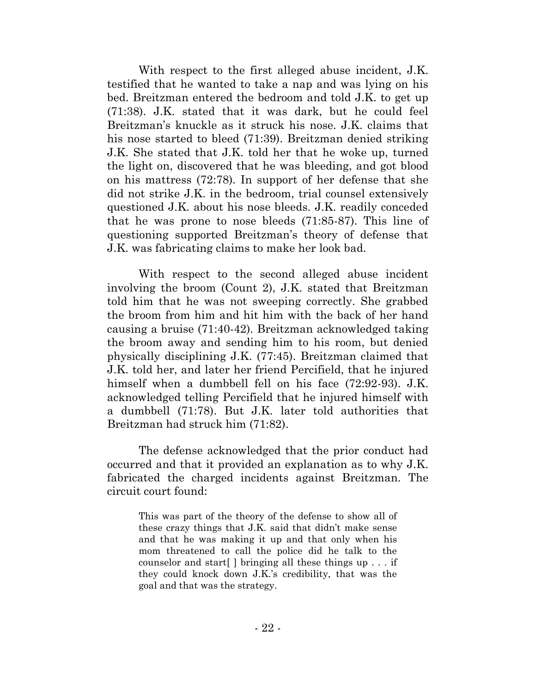With respect to the first alleged abuse incident, J.K. testified that he wanted to take a nap and was lying on his bed. Breitzman entered the bedroom and told J.K. to get up (71:38). J.K. stated that it was dark, but he could feel Breitzman's knuckle as it struck his nose. J.K. claims that his nose started to bleed (71:39). Breitzman denied striking J.K. She stated that J.K. told her that he woke up, turned the light on, discovered that he was bleeding, and got blood on his mattress (72:78). In support of her defense that she did not strike J.K. in the bedroom, trial counsel extensively questioned J.K. about his nose bleeds. J.K. readily conceded that he was prone to nose bleeds (71:85-87). This line of questioning supported Breitzman's theory of defense that J.K. was fabricating claims to make her look bad.

With respect to the second alleged abuse incident involving the broom (Count 2), J.K. stated that Breitzman told him that he was not sweeping correctly. She grabbed the broom from him and hit him with the back of her hand causing a bruise (71:40-42). Breitzman acknowledged taking the broom away and sending him to his room, but denied physically disciplining J.K. (77:45). Breitzman claimed that J.K. told her, and later her friend Percifield, that he injured himself when a dumbbell fell on his face (72:92-93). J.K. acknowledged telling Percifield that he injured himself with a dumbbell (71:78). But J.K. later told authorities that Breitzman had struck him (71:82).

The defense acknowledged that the prior conduct had occurred and that it provided an explanation as to why J.K. fabricated the charged incidents against Breitzman. The circuit court found:

This was part of the theory of the defense to show all of these crazy things that J.K. said that didn't make sense and that he was making it up and that only when his mom threatened to call the police did he talk to the counselor and start[ ] bringing all these things up . . . if they could knock down J.K.'s credibility, that was the goal and that was the strategy.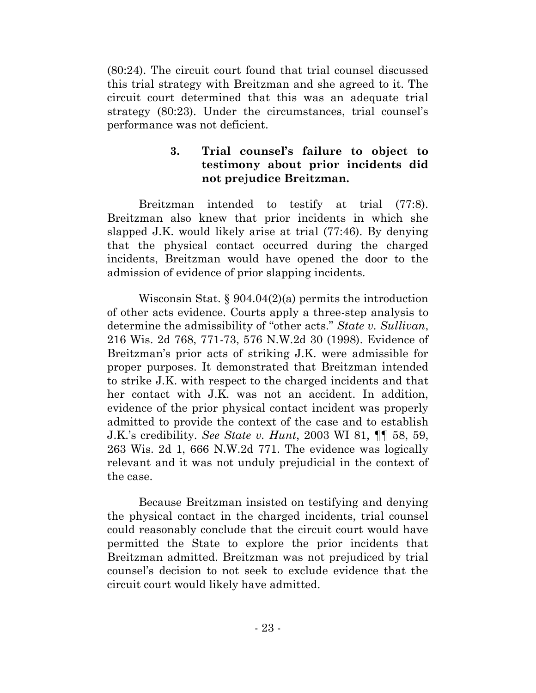(80:24). The circuit court found that trial counsel discussed this trial strategy with Breitzman and she agreed to it. The circuit court determined that this was an adequate trial strategy (80:23). Under the circumstances, trial counsel's performance was not deficient.

# **3. Trial counsel's failure to object to testimony about prior incidents did not prejudice Breitzman.**

Breitzman intended to testify at trial (77:8). Breitzman also knew that prior incidents in which she slapped J.K. would likely arise at trial (77:46). By denying that the physical contact occurred during the charged incidents, Breitzman would have opened the door to the admission of evidence of prior slapping incidents.

Wisconsin Stat. § 904.04(2)(a) permits the introduction of other acts evidence. Courts apply a three-step analysis to determine the admissibility of "other acts." *State v. Sullivan*, 216 Wis. 2d 768, 771-73, 576 N.W.2d 30 (1998). Evidence of Breitzman's prior acts of striking J.K. were admissible for proper purposes. It demonstrated that Breitzman intended to strike J.K. with respect to the charged incidents and that her contact with J.K. was not an accident. In addition, evidence of the prior physical contact incident was properly admitted to provide the context of the case and to establish J.K.'s credibility. *See State v. Hunt*, 2003 WI 81, ¶¶ 58, 59, 263 Wis. 2d 1, 666 N.W.2d 771. The evidence was logically relevant and it was not unduly prejudicial in the context of the case.

Because Breitzman insisted on testifying and denying the physical contact in the charged incidents, trial counsel could reasonably conclude that the circuit court would have permitted the State to explore the prior incidents that Breitzman admitted. Breitzman was not prejudiced by trial counsel's decision to not seek to exclude evidence that the circuit court would likely have admitted.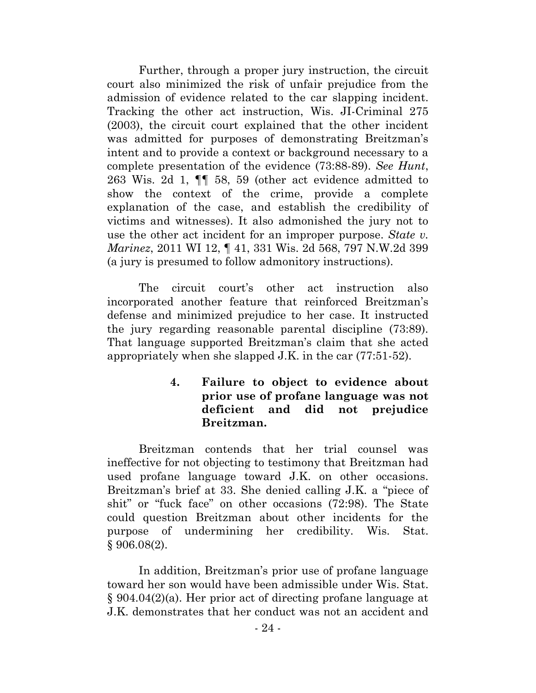Further, through a proper jury instruction, the circuit court also minimized the risk of unfair prejudice from the admission of evidence related to the car slapping incident. Tracking the other act instruction, Wis. JI-Criminal 275 (2003), the circuit court explained that the other incident was admitted for purposes of demonstrating Breitzman's intent and to provide a context or background necessary to a complete presentation of the evidence (73:88-89). *See Hunt*, 263 Wis. 2d 1, ¶¶ 58, 59 (other act evidence admitted to show the context of the crime, provide a complete explanation of the case, and establish the credibility of victims and witnesses). It also admonished the jury not to use the other act incident for an improper purpose. *State v. Marinez*, 2011 WI 12, ¶ 41, 331 Wis. 2d 568, 797 N.W.2d 399 (a jury is presumed to follow admonitory instructions).

The circuit court's other act instruction also incorporated another feature that reinforced Breitzman's defense and minimized prejudice to her case. It instructed the jury regarding reasonable parental discipline (73:89). That language supported Breitzman's claim that she acted appropriately when she slapped J.K. in the car (77:51-52).

# **4. Failure to object to evidence about prior use of profane language was not deficient and did not prejudice Breitzman.**

Breitzman contends that her trial counsel was ineffective for not objecting to testimony that Breitzman had used profane language toward J.K. on other occasions. Breitzman's brief at 33. She denied calling J.K. a "piece of shit" or "fuck face" on other occasions (72:98). The State could question Breitzman about other incidents for the purpose of undermining her credibility. Wis. Stat. § 906.08(2).

In addition, Breitzman's prior use of profane language toward her son would have been admissible under Wis. Stat. § 904.04(2)(a). Her prior act of directing profane language at J.K. demonstrates that her conduct was not an accident and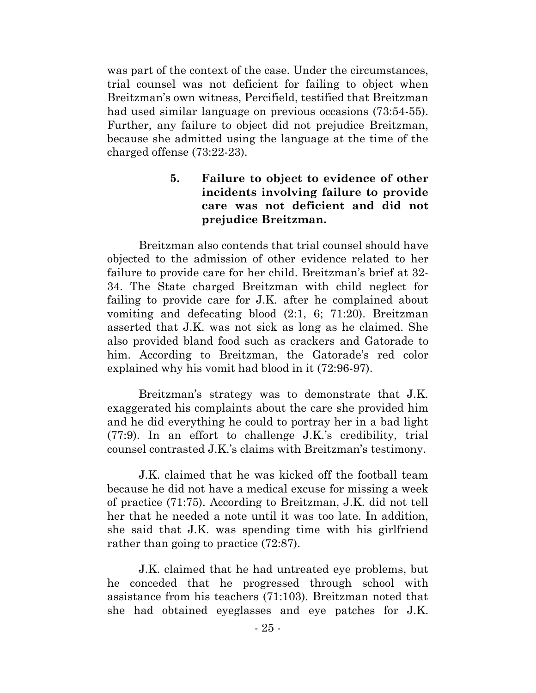was part of the context of the case. Under the circumstances, trial counsel was not deficient for failing to object when Breitzman's own witness, Percifield, testified that Breitzman had used similar language on previous occasions (73:54-55). Further, any failure to object did not prejudice Breitzman, because she admitted using the language at the time of the charged offense (73:22-23).

# **5. Failure to object to evidence of other incidents involving failure to provide care was not deficient and did not prejudice Breitzman.**

Breitzman also contends that trial counsel should have objected to the admission of other evidence related to her failure to provide care for her child. Breitzman's brief at 32- 34. The State charged Breitzman with child neglect for failing to provide care for J.K. after he complained about vomiting and defecating blood (2:1, 6; 71:20). Breitzman asserted that J.K. was not sick as long as he claimed. She also provided bland food such as crackers and Gatorade to him. According to Breitzman, the Gatorade's red color explained why his vomit had blood in it (72:96-97).

Breitzman's strategy was to demonstrate that J.K. exaggerated his complaints about the care she provided him and he did everything he could to portray her in a bad light (77:9). In an effort to challenge J.K.'s credibility, trial counsel contrasted J.K.'s claims with Breitzman's testimony.

J.K. claimed that he was kicked off the football team because he did not have a medical excuse for missing a week of practice (71:75). According to Breitzman, J.K. did not tell her that he needed a note until it was too late. In addition, she said that J.K. was spending time with his girlfriend rather than going to practice  $(72.87)$ .

J.K. claimed that he had untreated eye problems, but he conceded that he progressed through school with assistance from his teachers (71:103). Breitzman noted that she had obtained eyeglasses and eye patches for J.K.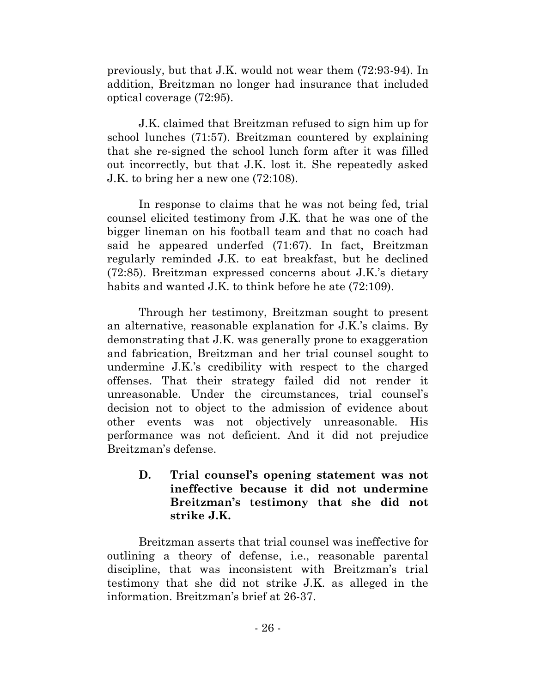previously, but that J.K. would not wear them (72:93-94). In addition, Breitzman no longer had insurance that included optical coverage (72:95).

J.K. claimed that Breitzman refused to sign him up for school lunches (71:57). Breitzman countered by explaining that she re-signed the school lunch form after it was filled out incorrectly, but that J.K. lost it. She repeatedly asked J.K. to bring her a new one (72:108).

In response to claims that he was not being fed, trial counsel elicited testimony from J.K. that he was one of the bigger lineman on his football team and that no coach had said he appeared underfed (71:67). In fact, Breitzman regularly reminded J.K. to eat breakfast, but he declined (72:85). Breitzman expressed concerns about J.K.'s dietary habits and wanted J.K. to think before he ate  $(72:109)$ .

Through her testimony, Breitzman sought to present an alternative, reasonable explanation for J.K.'s claims. By demonstrating that J.K. was generally prone to exaggeration and fabrication, Breitzman and her trial counsel sought to undermine J.K.'s credibility with respect to the charged offenses. That their strategy failed did not render it unreasonable. Under the circumstances, trial counsel's decision not to object to the admission of evidence about other events was not objectively unreasonable. His performance was not deficient. And it did not prejudice Breitzman's defense.

**D. Trial counsel's opening statement was not ineffective because it did not undermine Breitzman's testimony that she did not strike J.K.**

Breitzman asserts that trial counsel was ineffective for outlining a theory of defense, i.e., reasonable parental discipline, that was inconsistent with Breitzman's trial testimony that she did not strike J.K. as alleged in the information. Breitzman's brief at 26-37.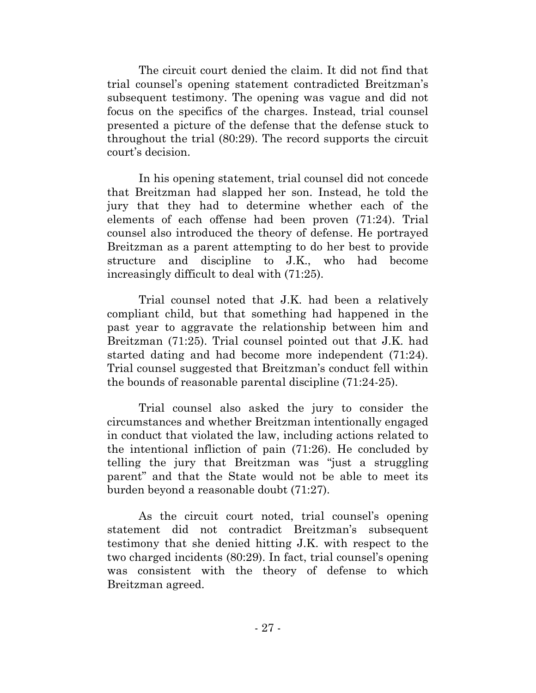The circuit court denied the claim. It did not find that trial counsel's opening statement contradicted Breitzman's subsequent testimony. The opening was vague and did not focus on the specifics of the charges. Instead, trial counsel presented a picture of the defense that the defense stuck to throughout the trial (80:29). The record supports the circuit court's decision.

In his opening statement, trial counsel did not concede that Breitzman had slapped her son. Instead, he told the jury that they had to determine whether each of the elements of each offense had been proven (71:24). Trial counsel also introduced the theory of defense. He portrayed Breitzman as a parent attempting to do her best to provide structure and discipline to J.K., who had become increasingly difficult to deal with (71:25).

Trial counsel noted that J.K. had been a relatively compliant child, but that something had happened in the past year to aggravate the relationship between him and Breitzman (71:25). Trial counsel pointed out that J.K. had started dating and had become more independent (71:24). Trial counsel suggested that Breitzman's conduct fell within the bounds of reasonable parental discipline (71:24-25).

Trial counsel also asked the jury to consider the circumstances and whether Breitzman intentionally engaged in conduct that violated the law, including actions related to the intentional infliction of pain (71:26). He concluded by telling the jury that Breitzman was "just a struggling parent" and that the State would not be able to meet its burden beyond a reasonable doubt (71:27).

As the circuit court noted, trial counsel's opening statement did not contradict Breitzman's subsequent testimony that she denied hitting J.K. with respect to the two charged incidents (80:29). In fact, trial counsel's opening was consistent with the theory of defense to which Breitzman agreed.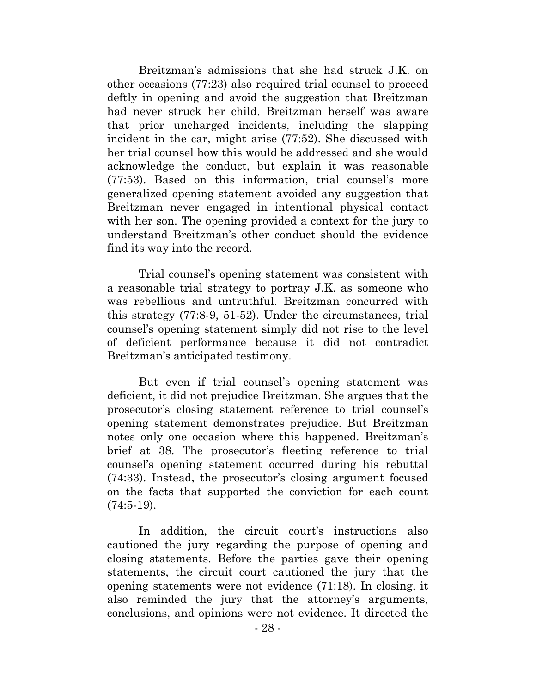Breitzman's admissions that she had struck J.K. on other occasions (77:23) also required trial counsel to proceed deftly in opening and avoid the suggestion that Breitzman had never struck her child. Breitzman herself was aware that prior uncharged incidents, including the slapping incident in the car, might arise (77:52). She discussed with her trial counsel how this would be addressed and she would acknowledge the conduct, but explain it was reasonable (77:53). Based on this information, trial counsel's more generalized opening statement avoided any suggestion that Breitzman never engaged in intentional physical contact with her son. The opening provided a context for the jury to understand Breitzman's other conduct should the evidence find its way into the record.

Trial counsel's opening statement was consistent with a reasonable trial strategy to portray J.K. as someone who was rebellious and untruthful. Breitzman concurred with this strategy (77:8-9, 51-52). Under the circumstances, trial counsel's opening statement simply did not rise to the level of deficient performance because it did not contradict Breitzman's anticipated testimony.

But even if trial counsel's opening statement was deficient, it did not prejudice Breitzman. She argues that the prosecutor's closing statement reference to trial counsel's opening statement demonstrates prejudice. But Breitzman notes only one occasion where this happened. Breitzman's brief at 38. The prosecutor's fleeting reference to trial counsel's opening statement occurred during his rebuttal (74:33). Instead, the prosecutor's closing argument focused on the facts that supported the conviction for each count (74:5-19).

In addition, the circuit court's instructions also cautioned the jury regarding the purpose of opening and closing statements. Before the parties gave their opening statements, the circuit court cautioned the jury that the opening statements were not evidence (71:18). In closing, it also reminded the jury that the attorney's arguments, conclusions, and opinions were not evidence. It directed the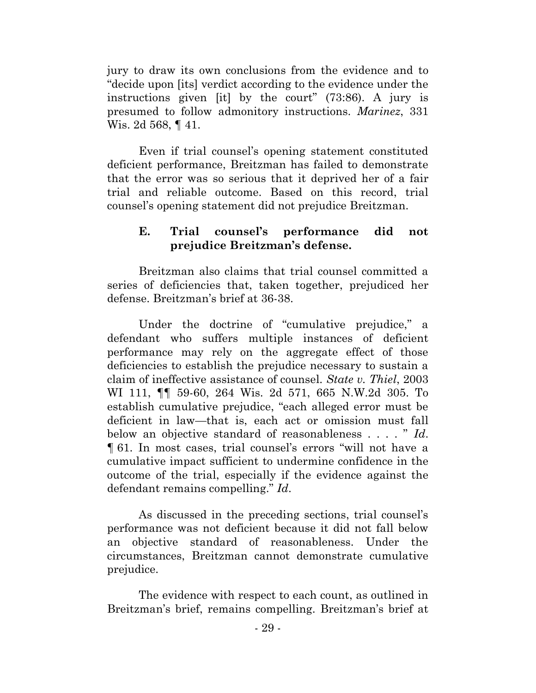jury to draw its own conclusions from the evidence and to "decide upon [its] verdict according to the evidence under the instructions given [it] by the court" (73:86). A jury is presumed to follow admonitory instructions. *Marinez*, 331 Wis. 2d 568, ¶ 41.

Even if trial counsel's opening statement constituted deficient performance, Breitzman has failed to demonstrate that the error was so serious that it deprived her of a fair trial and reliable outcome. Based on this record, trial counsel's opening statement did not prejudice Breitzman.

# **E. Trial counsel's performance did not prejudice Breitzman's defense.**

Breitzman also claims that trial counsel committed a series of deficiencies that, taken together, prejudiced her defense. Breitzman's brief at 36-38.

Under the doctrine of "cumulative prejudice," a defendant who suffers multiple instances of deficient performance may rely on the aggregate effect of those deficiencies to establish the prejudice necessary to sustain a claim of ineffective assistance of counsel. *State v. Thiel*, 2003 WI 111, ¶¶ 59-60, 264 Wis. 2d 571, 665 N.W.2d 305. To establish cumulative prejudice, "each alleged error must be deficient in law—that is, each act or omission must fall below an objective standard of reasonableness . . . . " *Id*. ¶ 61. In most cases, trial counsel's errors "will not have a cumulative impact sufficient to undermine confidence in the outcome of the trial, especially if the evidence against the defendant remains compelling." *Id*.

As discussed in the preceding sections, trial counsel's performance was not deficient because it did not fall below an objective standard of reasonableness. Under the circumstances, Breitzman cannot demonstrate cumulative prejudice.

The evidence with respect to each count, as outlined in Breitzman's brief, remains compelling. Breitzman's brief at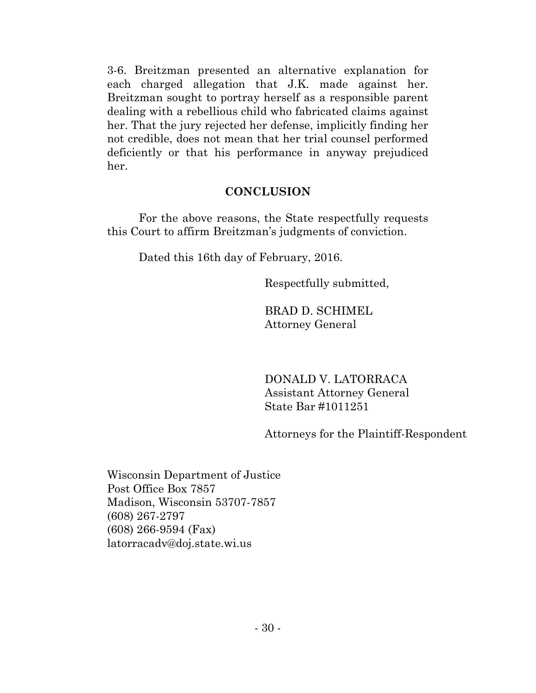3-6. Breitzman presented an alternative explanation for each charged allegation that J.K. made against her. Breitzman sought to portray herself as a responsible parent dealing with a rebellious child who fabricated claims against her. That the jury rejected her defense, implicitly finding her not credible, does not mean that her trial counsel performed deficiently or that his performance in anyway prejudiced her.

# **CONCLUSION**

For the above reasons, the State respectfully requests this Court to affirm Breitzman's judgments of conviction.

Dated this 16th day of February, 2016.

Respectfully submitted,

BRAD D. SCHIMEL Attorney General

DONALD V. LATORRACA Assistant Attorney General State Bar #1011251

Attorneys for the Plaintiff-Respondent

Wisconsin Department of Justice Post Office Box 7857 Madison, Wisconsin 53707-7857 (608) 267-2797 (608) 266-9594 (Fax) latorracadv@doj.state.wi.us